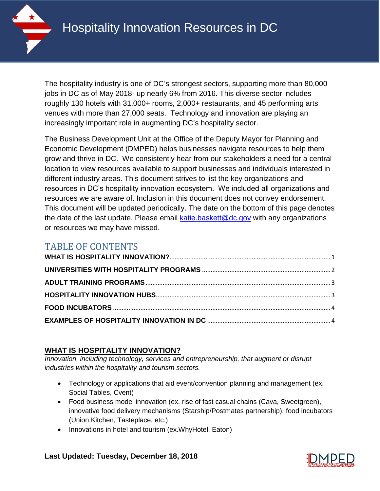

The hospitality industry is one of DC's strongest sectors, supporting more than 80,000 jobs in DC as of May 2018- up nearly 6% from 2016. This diverse sector includes roughly 130 hotels with 31,000+ rooms, 2,000+ restaurants, and 45 performing arts venues with more than 27,000 seats. Technology and innovation are playing an increasingly important role in augmenting DC's hospitality sector.

The Business Development Unit at the Office of the Deputy Mayor for Planning and Economic Development (DMPED) helps businesses navigate resources to help them grow and thrive in DC. We consistently hear from our stakeholders a need for a central location to view resources available to support businesses and individuals interested in different industry areas. This document strives to list the key organizations and resources in DC's hospitality innovation ecosystem. We included all organizations and resources we are aware of. Inclusion in this document does not convey endorsement. This document will be updated periodically. The date on the bottom of this page denotes the date of the last update. Please email  $k$ atie.baskett@dc.gov with any organizations or resources we may have missed.

# TABLE OF CONTENTS

## <span id="page-0-0"></span>**WHAT IS HOSPITALITY INNOVATION?**

*Innovation, including technology, services and entrepreneurship, that augment or disrupt industries within the hospitality and tourism sectors.* 

- Technology or applications that aid event/convention planning and management (ex. Social Tables, Cvent)
- Food business model innovation (ex. rise of fast casual chains (Cava, Sweetgreen), innovative food delivery mechanisms (Starship/Postmates partnership), food incubators (Union Kitchen, Tasteplace, etc.)
- Innovations in hotel and tourism (ex.WhyHotel, Eaton)

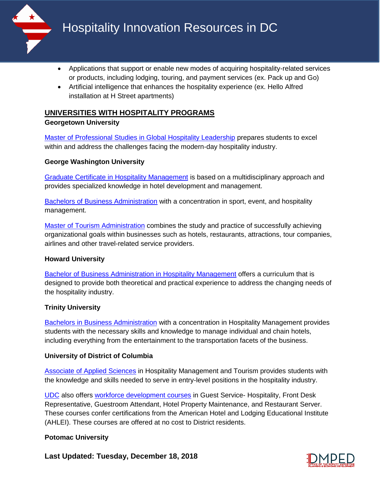

- Applications that support or enable new modes of acquiring hospitality-related services or products, including lodging, touring, and payment services (ex. Pack up and Go)
- Artificial intelligence that enhances the hospitality experience (ex. Hello Alfred installation at H Street apartments)

# <span id="page-1-0"></span>**UNIVERSITIES WITH HOSPITALITY PROGRAMS**

#### **Georgetown University**

[Master of Professional Studies in Global Hospitality Leadership](https://scs.georgetown.edu/programs/367/master-of-professional-studies-in-global-hospitality-leadership/overview?utm_source=Google&utm_medium=Search&utm_campaign=FY19_Search_GHL&gclid=CjwKCAjwzqPcBRAnEiwAzKRgS5fe2kbWreCOqRmkAdDBjS32L4ME4kkGOq1CaPKcpQ0U1uHTAaTwghoCYl4QAvD_BwE) prepares students to excel within and address the challenges facing the modern-day hospitality industry.

### **George Washington University**

[Graduate Certificate in Hospitality Management](https://www.programs.gwu.edu/hospitality-management) is based on a multidisciplinary approach and provides specialized knowledge in hotel development and management.

[Bachelors of Business Administration](https://business.gwu.edu/academics/programs/undergraduate/bba/sport-event-hospitality-management) with a concentration in sport, event, and hospitality management.

[Master of Tourism Administration](https://business.gwu.edu/academics/programs/specialized-masters/mta/academic-program/hospitality-management) combines the study and practice of successfully achieving organizational goals within businesses such as hotels, restaurants, attractions, tour companies, airlines and other travel-related service providers.

## **Howard University**

[Bachelor of Business Administration in Hospitality Management](https://bschool.howard.edu/majors/hospitality/) offers a curriculum that is designed to provide both theoretical and practical experience to address the changing needs of the hospitality industry.

## **Trinity University**

[Bachelors in Business Administration](https://www.trinitydc.edu/programs/business-administration-with-hospitality-management/) with a concentration in Hospitality Management provides students with the necessary skills and knowledge to manage individual and chain hotels, including everything from the entertainment to the transportation facets of the business.

#### **University of District of Columbia**

[Associate of Applied Sciences](https://www.udc.edu/cc/programs-majors/hospitality-management-aas/) in Hospitality Management and Tourism provides students with the knowledge and skills needed to serve in entry-level positions in the hospitality industry.

[UDC](https://www.udc.edu/cc/workforce-development/) also offers [workforce development courses](http://docs.udc.edu/wd/WDLL_CourseCatalog.pdf) in Guest Service- Hospitality, Front Desk Representative, Guestroom Attendant, Hotel Property Maintenance, and Restaurant Server. These courses confer certifications from the American Hotel and Lodging Educational Institute (AHLEI). These courses are offered at no cost to District residents.

#### **Potomac University**

**Last Updated: Tuesday, December 18, 2018**

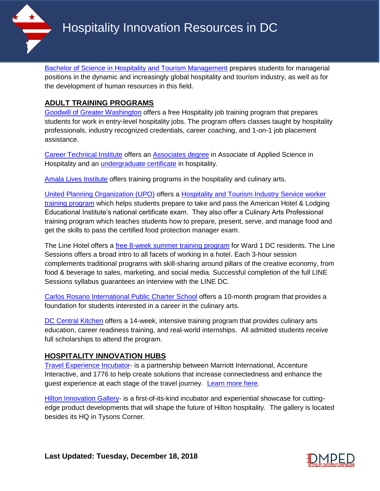[Bachelor of Science in Hospitality and Tourism Management](http://potomac.edu/degree-programs/undergraduate/hospitality/) prepares students for managerial positions in the dynamic and increasingly global hospitality and tourism industry, as well as for the development of human resources in this field.

## <span id="page-2-0"></span>**ADULT TRAINING PROGRAMS**

[Goodwill of Greater Washington](https://www.dcgoodwill.org/education/training-programs/hospitality/) offers a free Hospitality job training program that prepares students for work in entry-level hospitality jobs. The program offers classes taught by hospitality professionals, industry recognized credentials, career coaching, and 1-on-1 job placement assistance.

[Career Technical Institute](https://careertechnical.edu/programs/hospitality/) offers an [Associates degree](https://careertechnical.edu/hosp/Gedt.html) in Associate of Applied Science in Hospitality and an [undergraduate certificate](https://careertechnical.edu/hosp/Gedt_Undergrad.html) in hospitality.

[Amala Lives Institute](http://www.amalalivesinstitute.org/programs.html) offers training programs in the hospitality and culinary arts.

[United Planning Organization \(UPO\)](https://www.upo.org/) offers a [Hospitality and Tourism Industry Service worker](https://www.upo.org/workforce-institute/)  [training program](https://www.upo.org/workforce-institute/) which helps students prepare to take and pass the American Hotel & Lodging Educational Institute's national certificate exam. They also offer a Culinary Arts Professional training program which teaches students how to prepare, present, serve, and manage food and get the skills to pass the certified food protection manager exam.

The Line Hotel offers a [free 8-week summer training program](https://thelinehotel.s3.amazonaws.com/content/uploads/sites/2/2018/05/LINE-Sessions-Package-Final-application.pdf) for Ward 1 DC residents. The Line Sessions offers a broad intro to all facets of working in a hotel. Each 3-hour session complements traditional programs with skill-sharing around pillars of the creative economy, from food & beverage to sales, marketing, and social media. Successful completion of the full LINE Sessions syllabus guarantees an interview with the LINE DC.

[Carlos Rosario International Public Charter School](https://www.carlosrosario.org/courses/class-listings/career-training/culinary-arts-academy/) offers a 10-month program that provides a foundation for students interested in a career in the culinary arts.

[DC Central Kitchen](https://dccentralkitchen.org/enroll/) offers a 14-week, intensive training program that provides culinary arts education, career readiness training, and real-world internships. All admitted students receive full scholarships to attend the program.

#### <span id="page-2-1"></span>**HOSPITALITY INNOVATION HUBS**

[Travel Experience Incubator-](https://www.1776.vc/travel-experience-incubator-challenge/) is a partnership between Marriott International, Accenture Interactive, and 1776 to help create solutions that increase connectedness and enhance the guest experience at each stage of the travel journey. [Learn more here.](http://news.marriott.com/2017/07/accenture-interactive-marriott-international-1776-launch-travel-experience-incubator/)

[Hilton Innovation Gallery-](https://www.hotelmanagement.net/tech/hilton-launches-innovation-gallery) is a first-of-its-kind incubator and experiential showcase for cuttingedge product developments that will shape the future of Hilton hospitality. The gallery is located besides its HQ in Tysons Corner.

**Last Updated: Tuesday, December 18, 2018**